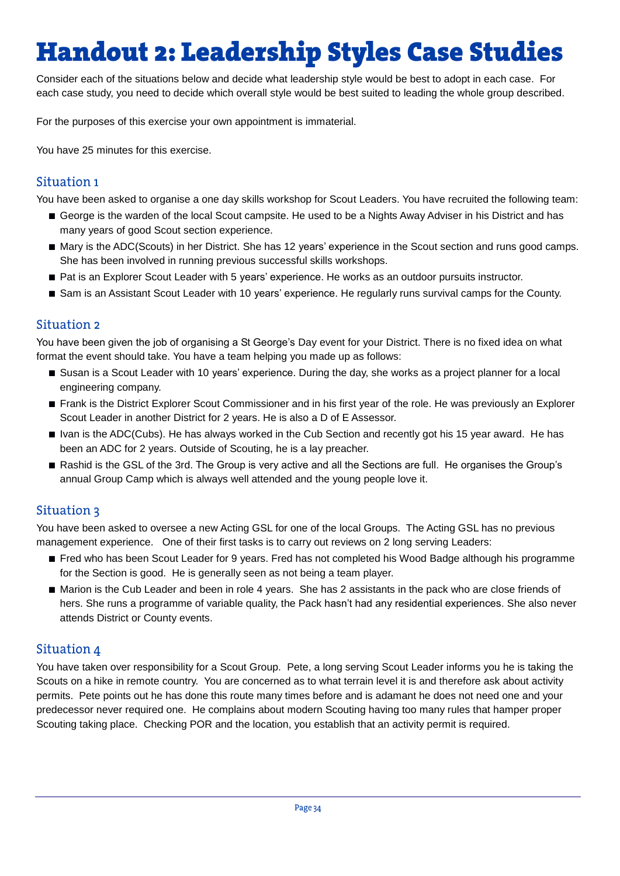# **Handout 2: Leadership Styles Case Studies**

Consider each of the situations below and decide what leadership style would be best to adopt in each case. For each case study, you need to decide which overall style would be best suited to leading the whole group described.

For the purposes of this exercise your own appointment is immaterial.

You have 25 minutes for this exercise.

#### Situation 1

You have been asked to organise a one day skills workshop for Scout Leaders. You have recruited the following team:

- **■** George is the warden of the local Scout campsite. He used to be a Nights Away Adviser in his District and has many years of good Scout section experience.
- Mary is the ADC(Scouts) in her District. She has 12 years' experience in the Scout section and runs good camps. She has been involved in running previous successful skills workshops.
- Pat is an Explorer Scout Leader with 5 years' experience. He works as an outdoor pursuits instructor.
- Sam is an Assistant Scout Leader with 10 years' experience. He regularly runs survival camps for the County.

#### Situation 2

You have been given the job of organising a St George's Day event for your District. There is no fixed idea on what format the event should take. You have a team helping you made up as follows:

- Susan is a Scout Leader with 10 years' experience. During the day, she works as a project planner for a local engineering company.
- **■** Frank is the District Explorer Scout Commissioner and in his first year of the role. He was previously an Explorer Scout Leader in another District for 2 years. He is also a D of E Assessor.
- Ivan is the ADC(Cubs). He has always worked in the Cub Section and recently got his 15 year award. He has been an ADC for 2 years. Outside of Scouting, he is a lay preacher.
- Rashid is the GSL of the 3rd. The Group is very active and all the Sections are full. He organises the Group's annual Group Camp which is always well attended and the young people love it.

### **Situation 3**

You have been asked to oversee a new Acting GSL for one of the local Groups. The Acting GSL has no previous management experience. One of their first tasks is to carry out reviews on 2 long serving Leaders:

- Fred who has been Scout Leader for 9 years. Fred has not completed his Wood Badge although his programme for the Section is good. He is generally seen as not being a team player.
- Marion is the Cub Leader and been in role 4 years. She has 2 assistants in the pack who are close friends of hers. She runs a programme of variable quality, the Pack hasn't had any residential experiences. She also never attends District or County events.

#### Situation 4

You have taken over responsibility for a Scout Group. Pete, a long serving Scout Leader informs you he is taking the Scouts on a hike in remote country. You are concerned as to what terrain level it is and therefore ask about activity permits. Pete points out he has done this route many times before and is adamant he does not need one and your predecessor never required one. He complains about modern Scouting having too many rules that hamper proper Scouting taking place. Checking POR and the location, you establish that an activity permit is required.